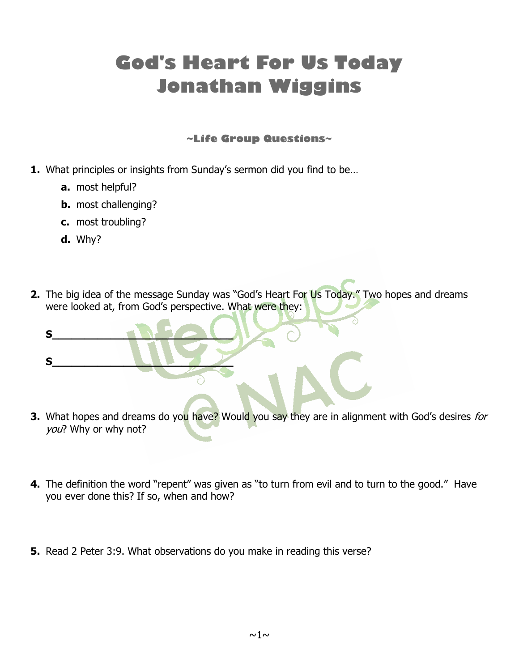## **God's Heart For Us Today Jonathan Wiggins**

## **~Life Group Questions~**

- **1.** What principles or insights from Sunday's sermon did you find to be…
	- **a.** most helpful?
	- **b.** most challenging?

**S\_\_\_\_\_\_\_\_\_\_\_\_\_\_\_\_\_\_\_\_\_\_\_\_\_\_\_\_**

**S\_\_\_\_\_\_\_\_\_\_\_\_\_\_\_\_\_\_\_\_\_\_\_\_\_\_\_\_**

- **c.** most troubling?
- **d.** Why?
- **2.** The big idea of the message Sunday was "God's Heart For Us Today." Two hopes and dreams were looked at, from God's perspective. What were they:

- **3.** What hopes and dreams do you have? Would you say they are in alignment with God's desires for you? Why or why not?
- **4.** The definition the word "repent" was given as "to turn from evil and to turn to the good." Have you ever done this? If so, when and how?
- **5.** Read 2 Peter 3:9. What observations do you make in reading this verse?